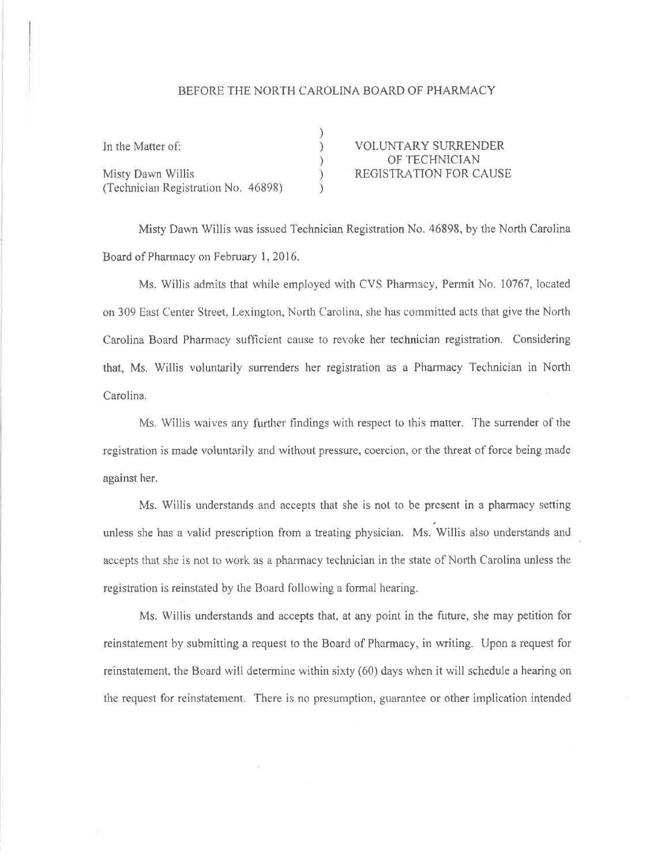## BEFORE THE NORTH CAROLINA BOARD OF PHARMACY

| In the Matter of:                   | <b>VOLUNTARY SURRENDER</b>    |
|-------------------------------------|-------------------------------|
|                                     | OF TECHNICIAN                 |
| Misty Dawn Willis                   | <b>REGISTRATION FOR CAUSE</b> |
| (Technician Registration No. 46898) |                               |

Misty Dawn Willis was issued Technician Registration No. 46898, by the North Carolina Board of Pharmacy on February 1, 2016.

Ms. Willis admits that while employed with CVS Pharmacy, Permit No. 10767, located on 309 East Center Street, Lexington, North Carolina, she has committed acts that give the North Carolina Board Pharmacy sufficient cause to revoke her technician registration. Considering that, Ms. Willis voluntarily surrenders her registration as a Pharmacy Technician in North Carolina.

Ms. Willis waives any further findings with respect to this matter. The surrender of the registration is made voluntarily and without pressure, coercion, or the threat of force being made against her.

Ms. Willis understands and accepts that she is not to be present in a pharmacy setting unless she has a valid prescription from a treating physician. Ms. Willis also understands and accepts that she is not to work as a pharmacy technician in the state of North Carolina unless the registration is reinstated by the Board following a formal hearing.

Ms. Willis understands and accepts that, at any point in the future, she may petition for reinstatement by submitting a request to the Board of Pharmacy, in writing. Upon a request for reinstatement, the Board will determine within sixty (60) days when it will schedule a hearing on the request for reinstatement. There is no presumption, guarantee or other implication intended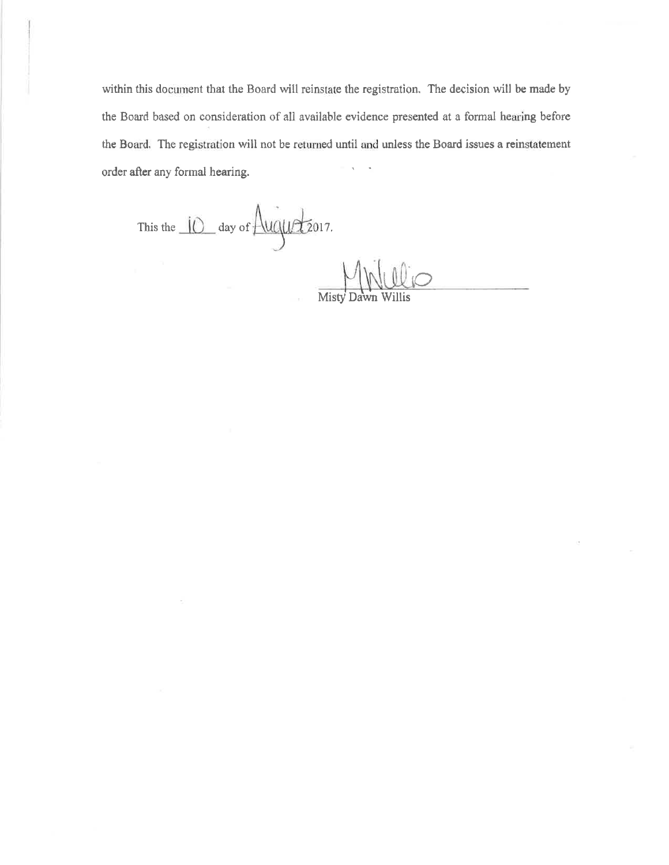within this document that the Board will reinstate the registration. The decision will be made by the Board based on consideration of all available evidence presented at a formal hearing before the Board. The registration will not be returned until and unless the Board issues a reinstatement order after any formal hearing.

This the 10 day of August 2017.

Misty Dawn